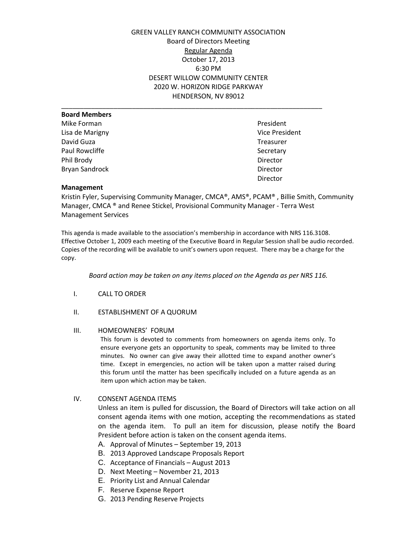GREEN VALLEY RANCH COMMUNITY ASSOCIATION Board of Directors Meeting Regular Agenda October 17, 2013 6:30 PM DESERT WILLOW COMMUNITY CENTER 2020 W. HORIZON RIDGE PARKWAY HENDERSON, NV 89012

| <b>Board Members</b>  |                       |
|-----------------------|-----------------------|
| Mike Forman           | President             |
| Lisa de Marigny       | <b>Vice President</b> |
| David Guza            | Treasurer             |
| Paul Rowcliffe        | Secretary             |
| Phil Brody            | Director              |
| <b>Bryan Sandrock</b> | Director              |
|                       | Director              |

Vice President **Treasurer** Director

### **Management**

Kristin Fyler, Supervising Community Manager, CMCA®, AMS®, PCAM® , Billie Smith, Community Manager, CMCA ® and Renee Stickel, Provisional Community Manager - Terra West Management Services

This agenda is made available to the association's membership in accordance with NRS 116.3108. Effective October 1, 2009 each meeting of the Executive Board in Regular Session shall be audio recorded. Copies of the recording will be available to unit's owners upon request. There may be a charge for the copy.

*Board action may be taken on any items placed on the Agenda as per NRS 116.*

- I. CALL TO ORDER
- II. ESTABLISHMENT OF A QUORUM

## III. HOMEOWNERS' FORUM

This forum is devoted to comments from homeowners on agenda items only. To ensure everyone gets an opportunity to speak, comments may be limited to three minutes. No owner can give away their allotted time to expand another owner's time. Except in emergencies, no action will be taken upon a matter raised during this forum until the matter has been specifically included on a future agenda as an item upon which action may be taken.

### IV. CONSENT AGENDA ITEMS

Unless an item is pulled for discussion, the Board of Directors will take action on all consent agenda items with one motion, accepting the recommendations as stated on the agenda item. To pull an item for discussion, please notify the Board President before action is taken on the consent agenda items.

- A. Approval of Minutes September 19, 2013
- B. 2013 Approved Landscape Proposals Report
- C. Acceptance of Financials August 2013
- D. Next Meeting November 21, 2013
- E. Priority List and Annual Calendar
- F. Reserve Expense Report
- G. 2013 Pending Reserve Projects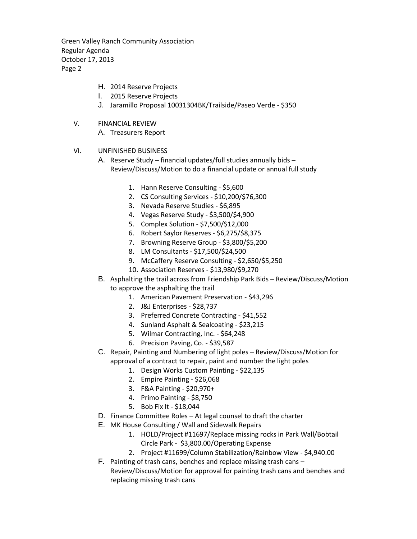Green Valley Ranch Community Association Regular Agenda October 17, 2013 Page 2

- H. 2014 Reserve Projects
- I. 2015 Reserve Projects
- J. Jaramillo Proposal 10031304BK/Trailside/Paseo Verde \$350
- V. FINANCIAL REVIEW
	- A. Treasurers Report

# VI. UNFINISHED BUSINESS

A. Reserve Study – financial updates/full studies annually bids – Review/Discuss/Motion to do a financial update or annual full study

- 1. Hann Reserve Consulting \$5,600
- 2. CS Consulting Services \$10,200/\$76,300
- 3. Nevada Reserve Studies \$6,895
- 4. Vegas Reserve Study \$3,500/\$4,900
- 5. Complex Solution \$7,500/\$12,000
- 6. Robert Saylor Reserves \$6,275/\$8,375
- 7. Browning Reserve Group \$3,800/\$5,200
- 8. LM Consultants \$17,500/\$24,500
- 9. McCaffery Reserve Consulting \$2,650/\$5,250
- 10. Association Reserves \$13,980/\$9,270
- B. Asphalting the trail across from Friendship Park Bids Review/Discuss/Motion to approve the asphalting the trail
	- 1. American Pavement Preservation \$43,296
	- 2. J&J Enterprises \$28,737
	- 3. Preferred Concrete Contracting \$41,552
	- 4. Sunland Asphalt & Sealcoating \$23,215
	- 5. Wilmar Contracting, Inc. \$64,248
	- 6. Precision Paving, Co. \$39,587
- C. Repair, Painting and Numbering of light poles Review/Discuss/Motion for approval of a contract to repair, paint and number the light poles
	- 1. Design Works Custom Painting \$22,135
	- 2. Empire Painting \$26,068
	- 3. F&A Painting \$20,970+
	- 4. Primo Painting \$8,750
	- 5. Bob Fix It \$18,044
- D. Finance Committee Roles At legal counsel to draft the charter
- E. MK House Consulting / Wall and Sidewalk Repairs
	- 1. HOLD/Project #11697/Replace missing rocks in Park Wall/Bobtail Circle Park - \$3,800.00/Operating Expense
	- 2. Project #11699/Column Stabilization/Rainbow View \$4,940.00
- F. Painting of trash cans, benches and replace missing trash cans Review/Discuss/Motion for approval for painting trash cans and benches and replacing missing trash cans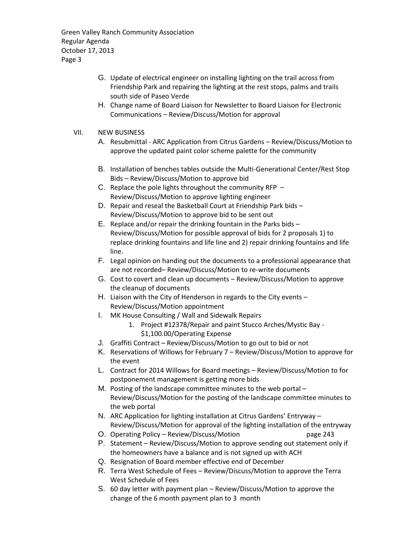Green Valley Ranch Community Association Regular Agenda October 17, 2013 Page 3

- G. Update of electrical engineer on installing lighting on the trail across from Friendship Park and repairing the lighting at the rest stops, palms and trails south side of Paseo Verde
- H. Change name of Board Liaison for Newsletter to Board Liaison for Electronic Communications – Review/Discuss/Motion for approval

## VII. NEW BUSINESS

- A. Resubmittal ARC Application from Citrus Gardens Review/Discuss/Motion to approve the updated paint color scheme palette for the community
- B. Installation of benches tables outside the Multi-Generational Center/Rest Stop Bids – Review/Discuss/Motion to approve bid
- C. Replace the pole lights throughout the community RFP Review/Discuss/Motion to approve lighting engineer
- D. Repair and reseal the Basketball Court at Friendship Park bids Review/Discuss/Motion to approve bid to be sent out
- E. Replace and/or repair the drinking fountain in the Parks bids Review/Discuss/Motion for possible approval of bids for 2 proposals 1) to replace drinking fountains and life line and 2) repair drinking fountains and life line.
- F. Legal opinion on handing out the documents to a professional appearance that are not recorded– Review/Discuss/Motion to re-write documents
- G. Cost to covert and clean up documents Review/Discuss/Motion to approve the cleanup of documents
- H. Liaison with the City of Henderson in regards to the City events Review/Discuss/Motion appointment
- I. MK House Consulting / Wall and Sidewalk Repairs
	- 1. Project #12378/Repair and paint Stucco Arches/Mystic Bay \$1,100.00/Operating Expense
- J. Graffiti Contract Review/Discuss/Motion to go out to bid or not
- K. Reservations of Willows for February 7 Review/Discuss/Motion to approve for the event
- L. Contract for 2014 Willows for Board meetings Review/Discuss/Motion to for postponement management is getting more bids
- M. Posting of the landscape committee minutes to the web portal Review/Discuss/Motion for the posting of the landscape committee minutes to the web portal
- N. ARC Application for lighting installation at Citrus Gardens' Entryway Review/Discuss/Motion for approval of the lighting installation of the entryway
- O. Operating Policy Review/Discuss/Motion example 243
- P. Statement Review/Discuss/Motion to approve sending out statement only if the homeowners have a balance and is not signed up with ACH
- Q. Resignation of Board member effective end of December
- R. Terra West Schedule of Fees Review/Discuss/Motion to approve the Terra West Schedule of Fees
- S. 60 day letter with payment plan Review/Discuss/Motion to approve the change of the 6 month payment plan to 3 month